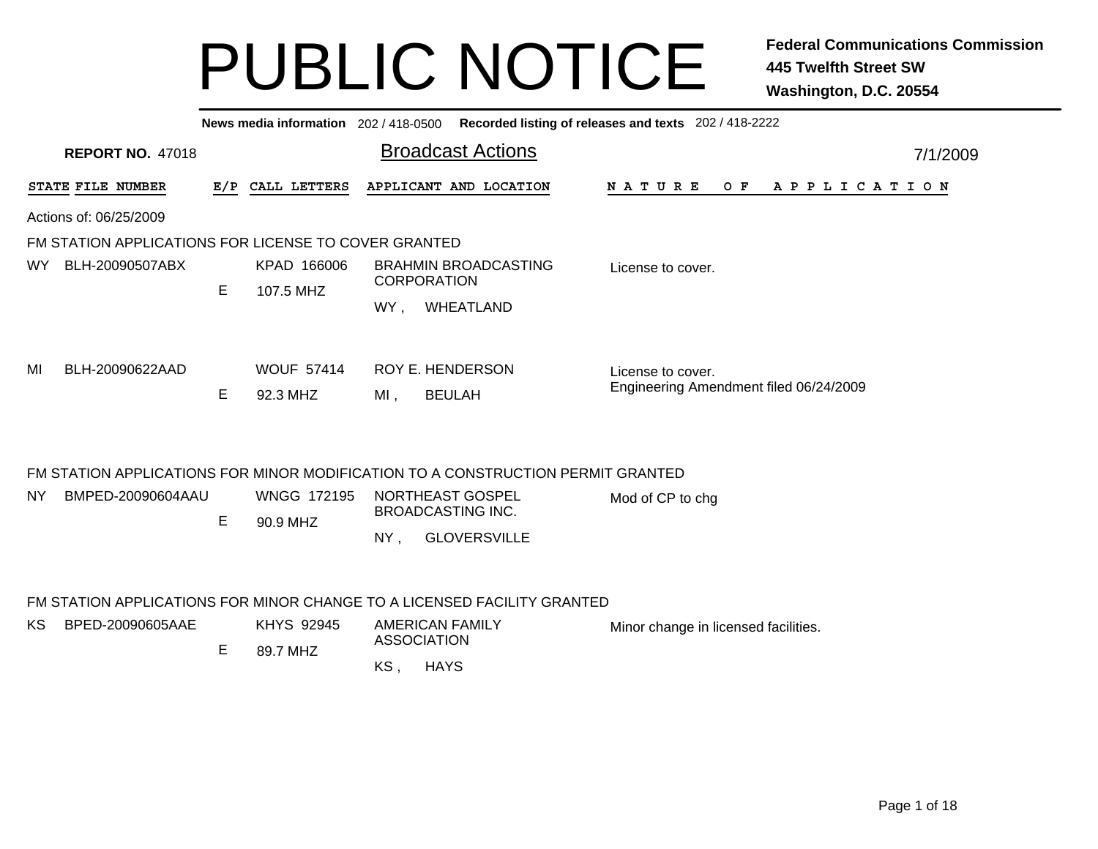|     |                                                                         |    |                                |                                                                                 | News media information 202/418-0500 Recorded listing of releases and texts 202/418-2222 |  |  |  |  |  |  |
|-----|-------------------------------------------------------------------------|----|--------------------------------|---------------------------------------------------------------------------------|-----------------------------------------------------------------------------------------|--|--|--|--|--|--|
|     | <b>REPORT NO. 47018</b>                                                 |    |                                | <b>Broadcast Actions</b>                                                        | 7/1/2009                                                                                |  |  |  |  |  |  |
|     | STATE FILE NUMBER                                                       |    | E/P CALL LETTERS               | APPLICANT AND LOCATION                                                          | NATURE<br>O F<br>A P P L I C A T I O N                                                  |  |  |  |  |  |  |
|     | Actions of: 06/25/2009                                                  |    |                                |                                                                                 |                                                                                         |  |  |  |  |  |  |
|     | FM STATION APPLICATIONS FOR LICENSE TO COVER GRANTED                    |    |                                |                                                                                 |                                                                                         |  |  |  |  |  |  |
| WY. | BLH-20090507ABX                                                         |    | KPAD 166006                    | <b>BRAHMIN BROADCASTING</b>                                                     | License to cover.                                                                       |  |  |  |  |  |  |
|     |                                                                         | E. | 107.5 MHZ                      | <b>CORPORATION</b>                                                              |                                                                                         |  |  |  |  |  |  |
|     |                                                                         |    |                                | WHEATLAND<br>WY,                                                                |                                                                                         |  |  |  |  |  |  |
| MI  | BLH-20090622AAD                                                         |    | <b>WOUF 57414</b>              | <b>ROY E. HENDERSON</b>                                                         | License to cover.                                                                       |  |  |  |  |  |  |
|     |                                                                         | Е  | 92.3 MHZ                       | <b>BEULAH</b><br>MI,                                                            | Engineering Amendment filed 06/24/2009                                                  |  |  |  |  |  |  |
|     |                                                                         |    |                                | FM STATION APPLICATIONS FOR MINOR MODIFICATION TO A CONSTRUCTION PERMIT GRANTED |                                                                                         |  |  |  |  |  |  |
| NY. | BMPED-20090604AAU                                                       | E  | <b>WNGG 172195</b><br>90.9 MHZ | NORTHEAST GOSPEL<br><b>BROADCASTING INC.</b>                                    | Mod of CP to chg                                                                        |  |  |  |  |  |  |
|     |                                                                         |    |                                | <b>GLOVERSVILLE</b><br>NY,                                                      |                                                                                         |  |  |  |  |  |  |
|     | FM STATION APPLICATIONS FOR MINOR CHANGE TO A LICENSED FACILITY GRANTED |    |                                |                                                                                 |                                                                                         |  |  |  |  |  |  |
| KS. | BPED-20090605AAE                                                        |    | <b>KHYS 92945</b>              | <b>AMERICAN FAMILY</b><br><b>ASSOCIATION</b>                                    | Minor change in licensed facilities.                                                    |  |  |  |  |  |  |
|     |                                                                         | E  | 89.7 MHZ                       |                                                                                 |                                                                                         |  |  |  |  |  |  |
|     |                                                                         |    |                                | <b>HAYS</b><br>KS,                                                              |                                                                                         |  |  |  |  |  |  |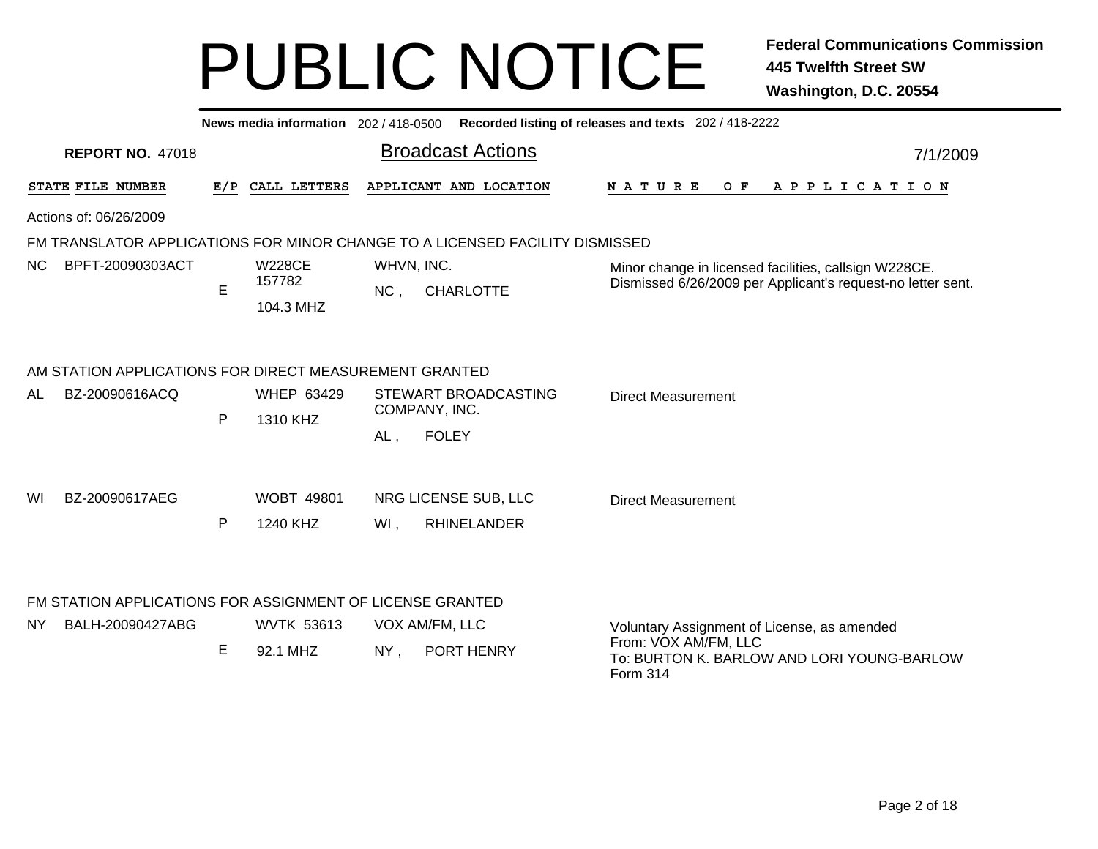|     |                                                        |     | News media information 202 / 418-0500 |                                                                              | Recorded listing of releases and texts 202 / 418-2222                                                                         |
|-----|--------------------------------------------------------|-----|---------------------------------------|------------------------------------------------------------------------------|-------------------------------------------------------------------------------------------------------------------------------|
|     | <b>REPORT NO. 47018</b>                                |     |                                       | <b>Broadcast Actions</b>                                                     | 7/1/2009                                                                                                                      |
|     | STATE FILE NUMBER                                      | E/P | CALL LETTERS                          | APPLICANT AND LOCATION                                                       | O F<br><b>NATURE</b><br>A P P L I C A T I O N                                                                                 |
|     | Actions of: 06/26/2009                                 |     |                                       |                                                                              |                                                                                                                               |
|     |                                                        |     |                                       | FM TRANSLATOR APPLICATIONS FOR MINOR CHANGE TO A LICENSED FACILITY DISMISSED |                                                                                                                               |
| NC. | BPFT-20090303ACT                                       | E   | <b>W228CE</b><br>157782<br>104.3 MHZ  | WHVN, INC.<br>NC,<br><b>CHARLOTTE</b>                                        | Minor change in licensed facilities, callsign W228CE.<br>Dismissed 6/26/2009 per Applicant's request-no letter sent.          |
|     | AM STATION APPLICATIONS FOR DIRECT MEASUREMENT GRANTED |     |                                       |                                                                              |                                                                                                                               |
| AL  | BZ-20090616ACQ                                         | P   | <b>WHEP 63429</b><br>1310 KHZ         | STEWART BROADCASTING<br>COMPANY, INC.                                        | <b>Direct Measurement</b>                                                                                                     |
|     |                                                        |     |                                       | <b>FOLEY</b><br>AL,                                                          |                                                                                                                               |
| WI  | BZ-20090617AEG                                         | P   | <b>WOBT 49801</b><br>1240 KHZ         | NRG LICENSE SUB, LLC<br><b>RHINELANDER</b><br>WI,                            | <b>Direct Measurement</b>                                                                                                     |
|     |                                                        |     |                                       | FM STATION APPLICATIONS FOR ASSIGNMENT OF LICENSE GRANTED                    |                                                                                                                               |
| NY. | BALH-20090427ABG                                       | E   | <b>WVTK 53613</b><br>92.1 MHZ         | VOX AM/FM, LLC<br>NY,<br>PORT HENRY                                          | Voluntary Assignment of License, as amended<br>From: VOX AM/FM, LLC<br>To: BURTON K. BARLOW AND LORI YOUNG-BARLOW<br>Form 314 |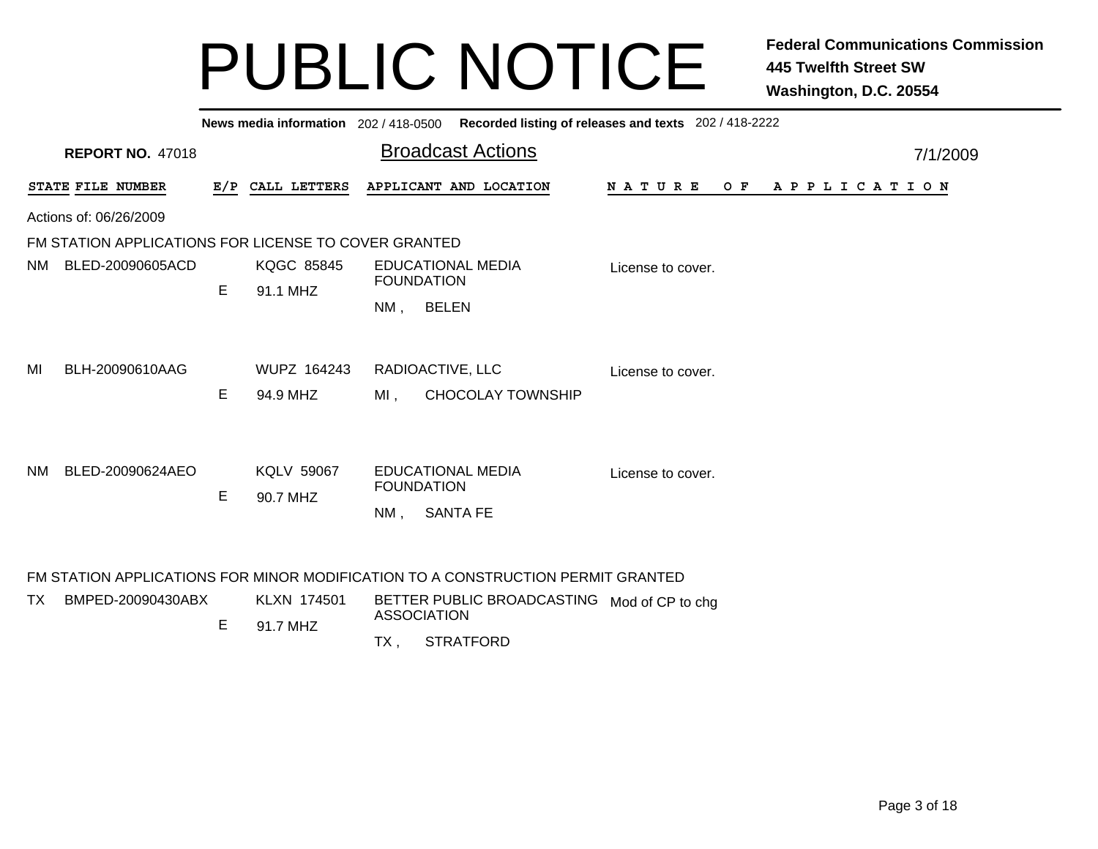|                        |                                                      |    |                   |        | News media information 202 / 418-0500 Recorded listing of releases and texts 202 / 418-2222 |                   |                |  |
|------------------------|------------------------------------------------------|----|-------------------|--------|---------------------------------------------------------------------------------------------|-------------------|----------------|--|
|                        | <b>REPORT NO. 47018</b>                              |    |                   |        | <b>Broadcast Actions</b>                                                                    |                   | 7/1/2009       |  |
|                        | STATE FILE NUMBER                                    |    | E/P CALL LETTERS  |        | APPLICANT AND LOCATION                                                                      | N A T U R E       | OF APPLICATION |  |
|                        | Actions of: 06/26/2009                               |    |                   |        |                                                                                             |                   |                |  |
|                        | FM STATION APPLICATIONS FOR LICENSE TO COVER GRANTED |    |                   |        |                                                                                             |                   |                |  |
| NM<br>BLED-20090605ACD |                                                      |    | <b>KQGC 85845</b> |        | EDUCATIONAL MEDIA                                                                           | License to cover. |                |  |
|                        |                                                      | Е  | 91.1 MHZ          |        | <b>FOUNDATION</b>                                                                           |                   |                |  |
|                        |                                                      |    |                   | NM ,   | <b>BELEN</b>                                                                                |                   |                |  |
|                        |                                                      |    |                   |        |                                                                                             |                   |                |  |
| MI                     | BLH-20090610AAG                                      |    | WUPZ 164243       |        | RADIOACTIVE, LLC                                                                            | License to cover. |                |  |
|                        |                                                      | E. | 94.9 MHZ          | MI.    | <b>CHOCOLAY TOWNSHIP</b>                                                                    |                   |                |  |
|                        |                                                      |    |                   |        |                                                                                             |                   |                |  |
|                        |                                                      |    |                   |        |                                                                                             |                   |                |  |
| NM.                    | BLED-20090624AEO                                     |    | <b>KQLV 59067</b> |        | <b>EDUCATIONAL MEDIA</b>                                                                    | License to cover. |                |  |
|                        |                                                      | Е  | 90.7 MHZ          |        | <b>FOUNDATION</b>                                                                           |                   |                |  |
|                        |                                                      |    |                   | $NM$ , | <b>SANTA FE</b>                                                                             |                   |                |  |
|                        |                                                      |    |                   |        |                                                                                             |                   |                |  |
|                        |                                                      |    |                   |        | FM STATION APPLICATIONS FOR MINOR MODIFICATION TO A CONSTRUCTION PERMIT GRANTED             |                   |                |  |
| TX.                    | BMPED-20090430ABX                                    |    | KLXN 174501       |        | BETTER PUBLIC BROADCASTING Mod of CP to chg                                                 |                   |                |  |
|                        |                                                      | Е  | 91.7 MHZ          |        | <b>ASSOCIATION</b>                                                                          |                   |                |  |
|                        |                                                      |    |                   | TX ,   | <b>STRATFORD</b>                                                                            |                   |                |  |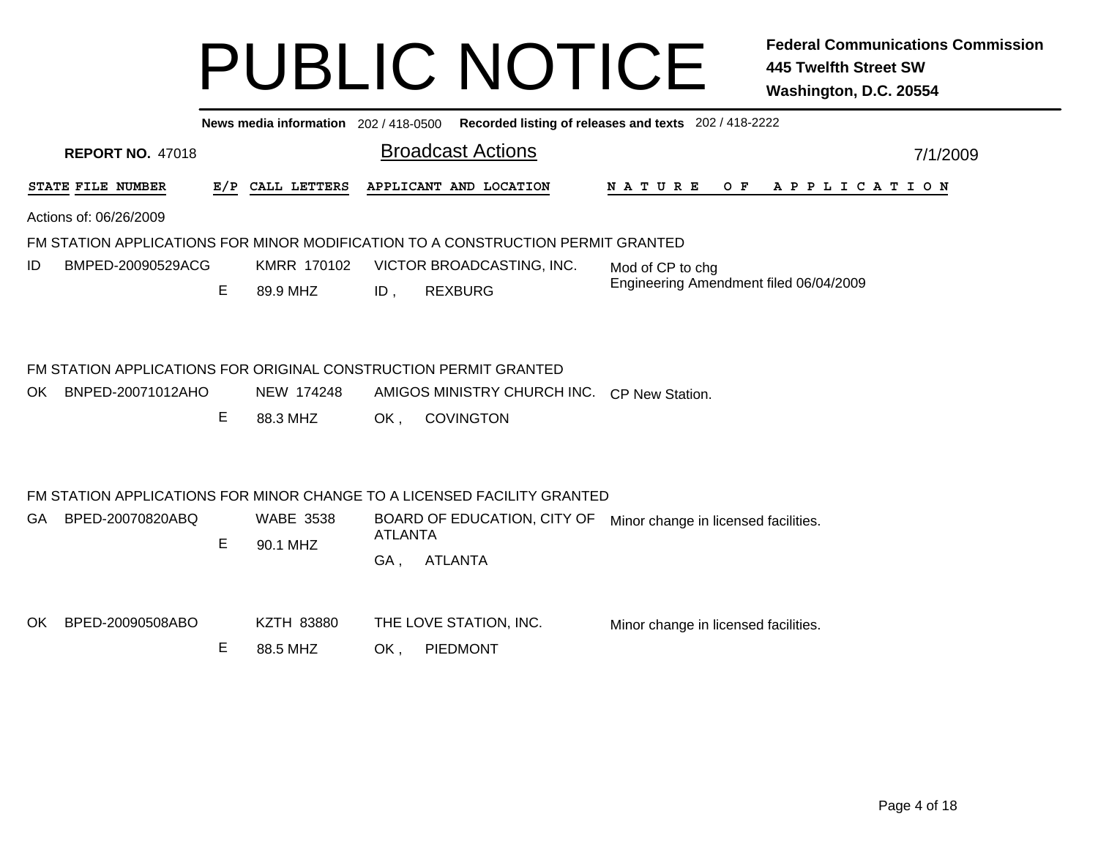|                                                                                              |   |                               | News media information 202 / 418-0500 Recorded listing of releases and texts 202 / 418-2222                                                       |                                             |  |  |  |  |  |  |  |  |
|----------------------------------------------------------------------------------------------|---|-------------------------------|---------------------------------------------------------------------------------------------------------------------------------------------------|---------------------------------------------|--|--|--|--|--|--|--|--|
| <b>REPORT NO. 47018</b>                                                                      |   |                               | <b>Broadcast Actions</b>                                                                                                                          | 7/1/2009                                    |  |  |  |  |  |  |  |  |
| STATE FILE NUMBER                                                                            |   | E/P CALL LETTERS              | APPLICANT AND LOCATION                                                                                                                            | N A T U R E<br>O F<br>A P P L I C A T I O N |  |  |  |  |  |  |  |  |
| Actions of: 06/26/2009                                                                       |   |                               |                                                                                                                                                   |                                             |  |  |  |  |  |  |  |  |
| FM STATION APPLICATIONS FOR MINOR MODIFICATION TO A CONSTRUCTION PERMIT GRANTED              |   |                               |                                                                                                                                                   |                                             |  |  |  |  |  |  |  |  |
| KMRR 170102<br>BMPED-20090529ACG<br>VICTOR BROADCASTING, INC.<br>ID<br>Mod of CP to chg      |   |                               |                                                                                                                                                   |                                             |  |  |  |  |  |  |  |  |
|                                                                                              | Е | 89.9 MHZ                      | <b>REXBURG</b><br>ID,                                                                                                                             | Engineering Amendment filed 06/04/2009      |  |  |  |  |  |  |  |  |
| FM STATION APPLICATIONS FOR ORIGINAL CONSTRUCTION PERMIT GRANTED<br>BNPED-20071012AHO<br>OK. | E | NEW 174248<br>88.3 MHZ        | AMIGOS MINISTRY CHURCH INC.<br><b>COVINGTON</b><br>OK,                                                                                            | CP New Station.                             |  |  |  |  |  |  |  |  |
| BPED-20070820ABQ<br>GA.                                                                      | E | <b>WABE 3538</b><br>90.1 MHZ  | FM STATION APPLICATIONS FOR MINOR CHANGE TO A LICENSED FACILITY GRANTED<br>BOARD OF EDUCATION, CITY OF<br><b>ATLANTA</b><br><b>ATLANTA</b><br>GA, | Minor change in licensed facilities.        |  |  |  |  |  |  |  |  |
| BPED-20090508ABO<br>OK.                                                                      | Е | <b>KZTH 83880</b><br>88.5 MHZ | THE LOVE STATION, INC.<br>PIEDMONT<br>OK,                                                                                                         | Minor change in licensed facilities.        |  |  |  |  |  |  |  |  |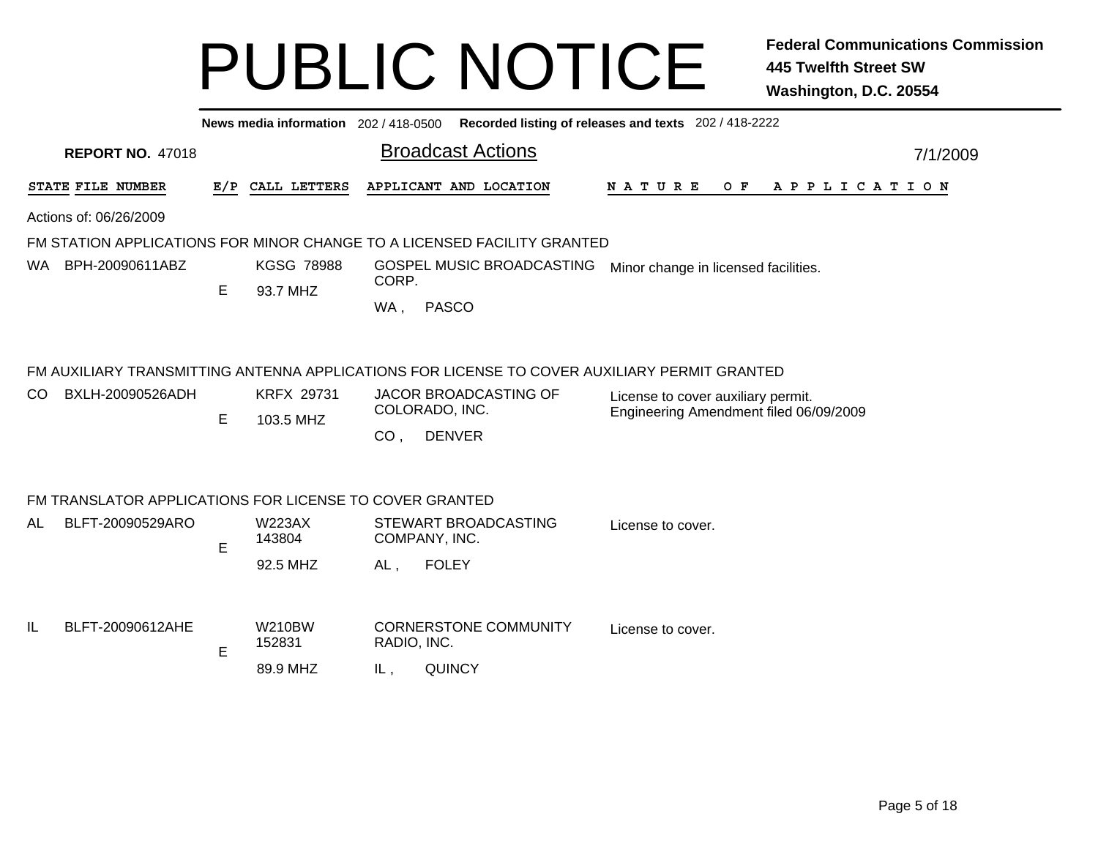| <b>REPORT NO. 47018</b>                                                 |                                             |                                     |                  |               |                                                                                                                                                                                                                                                                                                    | 7/1/2009                                                                                                                                                                                      |  |  |  |  |  |
|-------------------------------------------------------------------------|---------------------------------------------|-------------------------------------|------------------|---------------|----------------------------------------------------------------------------------------------------------------------------------------------------------------------------------------------------------------------------------------------------------------------------------------------------|-----------------------------------------------------------------------------------------------------------------------------------------------------------------------------------------------|--|--|--|--|--|
|                                                                         |                                             |                                     |                  |               | N A T U R E<br>O F<br>A P P L I C A T I O N                                                                                                                                                                                                                                                        |                                                                                                                                                                                               |  |  |  |  |  |
|                                                                         |                                             |                                     |                  |               |                                                                                                                                                                                                                                                                                                    |                                                                                                                                                                                               |  |  |  |  |  |
| FM STATION APPLICATIONS FOR MINOR CHANGE TO A LICENSED FACILITY GRANTED |                                             |                                     |                  |               |                                                                                                                                                                                                                                                                                                    |                                                                                                                                                                                               |  |  |  |  |  |
| WA BPH-20090611ABZ<br><b>KGSG 78988</b><br>GOSPEL MUSIC BROADCASTING    |                                             |                                     |                  |               |                                                                                                                                                                                                                                                                                                    |                                                                                                                                                                                               |  |  |  |  |  |
|                                                                         | Е                                           | 93.7 MHZ                            |                  |               |                                                                                                                                                                                                                                                                                                    |                                                                                                                                                                                               |  |  |  |  |  |
|                                                                         |                                             |                                     | WA,              | <b>PASCO</b>  |                                                                                                                                                                                                                                                                                                    |                                                                                                                                                                                               |  |  |  |  |  |
| BXLH-20090526ADH                                                        | E                                           | <b>KRFX 29731</b><br>103.5 MHZ      | CO <sub>1</sub>  | <b>DENVER</b> | License to cover auxiliary permit.<br>Engineering Amendment filed 06/09/2009                                                                                                                                                                                                                       |                                                                                                                                                                                               |  |  |  |  |  |
|                                                                         |                                             |                                     |                  |               |                                                                                                                                                                                                                                                                                                    |                                                                                                                                                                                               |  |  |  |  |  |
| BLFT-20090529ARO                                                        |                                             | <b>W223AX</b><br>143804             |                  |               | License to cover.                                                                                                                                                                                                                                                                                  |                                                                                                                                                                                               |  |  |  |  |  |
|                                                                         |                                             | 92.5 MHZ                            | AL,              | <b>FOLEY</b>  |                                                                                                                                                                                                                                                                                                    |                                                                                                                                                                                               |  |  |  |  |  |
| BLFT-20090612AHE                                                        | E                                           | <b>W210BW</b><br>152831<br>89.9 MHZ | IL,              | <b>QUINCY</b> | License to cover.                                                                                                                                                                                                                                                                                  |                                                                                                                                                                                               |  |  |  |  |  |
|                                                                         | STATE FILE NUMBER<br>Actions of: 06/26/2009 | E                                   | E/P CALL LETTERS |               | News media information 202 / 418-0500<br><b>Broadcast Actions</b><br>APPLICANT AND LOCATION<br>CORP.<br>JACOR BROADCASTING OF<br>COLORADO, INC.<br>FM TRANSLATOR APPLICATIONS FOR LICENSE TO COVER GRANTED<br>STEWART BROADCASTING<br>COMPANY, INC.<br><b>CORNERSTONE COMMUNITY</b><br>RADIO, INC. | Recorded listing of releases and texts 202 / 418-2222<br>Minor change in licensed facilities.<br>FM AUXILIARY TRANSMITTING ANTENNA APPLICATIONS FOR LICENSE TO COVER AUXILIARY PERMIT GRANTED |  |  |  |  |  |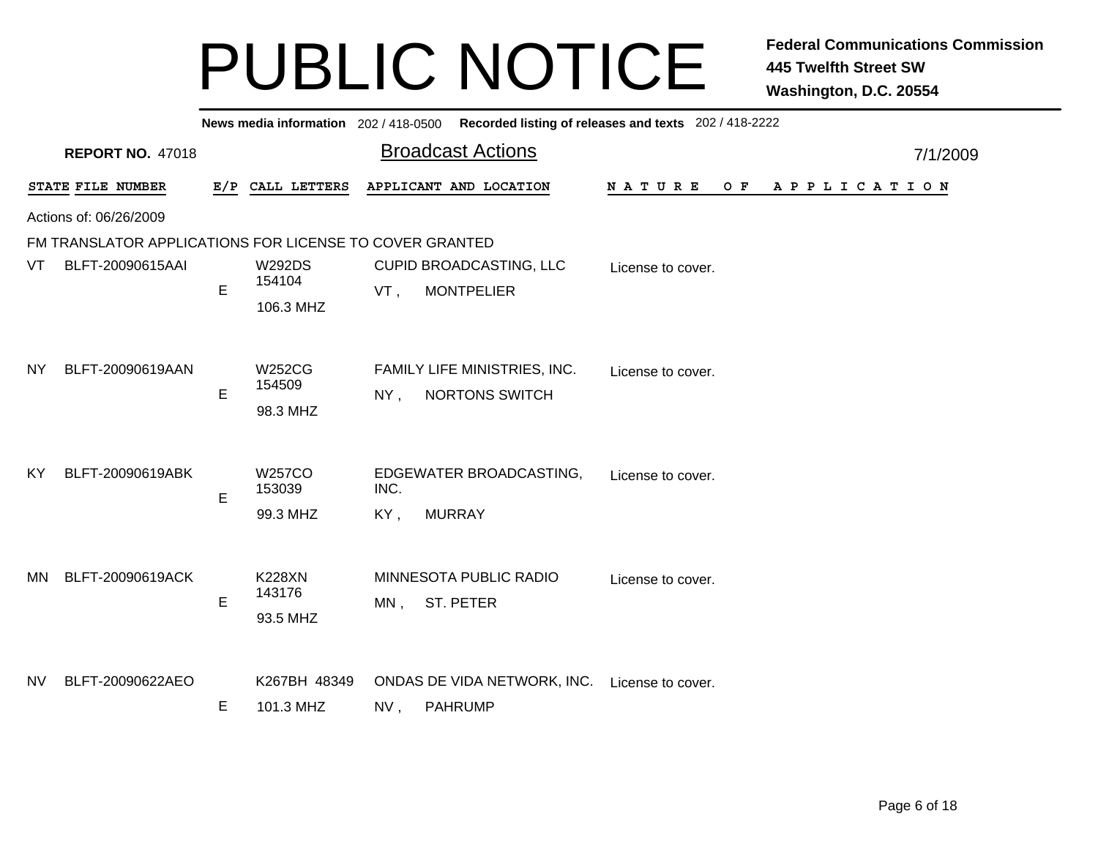|           |                                                         |   |                         |        | News media information 202/418-0500 Recorded listing of releases and texts 202/418-2222 |                                        |          |
|-----------|---------------------------------------------------------|---|-------------------------|--------|-----------------------------------------------------------------------------------------|----------------------------------------|----------|
|           | <b>REPORT NO. 47018</b>                                 |   |                         |        | <b>Broadcast Actions</b>                                                                |                                        | 7/1/2009 |
|           | STATE FILE NUMBER                                       |   | E/P CALL LETTERS        |        | APPLICANT AND LOCATION                                                                  | NATURE<br>O F<br>A P P L I C A T I O N |          |
|           | Actions of: 06/26/2009                                  |   |                         |        |                                                                                         |                                        |          |
|           | FM TRANSLATOR APPLICATIONS FOR LICENSE TO COVER GRANTED |   |                         |        |                                                                                         |                                        |          |
| VT        | BLFT-20090615AAI                                        | E | <b>W292DS</b><br>154104 | VT,    | CUPID BROADCASTING, LLC<br><b>MONTPELIER</b>                                            | License to cover.                      |          |
|           |                                                         |   | 106.3 MHZ               |        |                                                                                         |                                        |          |
|           |                                                         |   |                         |        |                                                                                         |                                        |          |
| NY.       | BLFT-20090619AAN                                        |   | W252CG<br>154509        |        | FAMILY LIFE MINISTRIES, INC.                                                            | License to cover.                      |          |
|           |                                                         | E | 98.3 MHZ                | $NY$ , | <b>NORTONS SWITCH</b>                                                                   |                                        |          |
|           |                                                         |   |                         |        |                                                                                         |                                        |          |
| <b>KY</b> | BLFT-20090619ABK                                        |   | <b>W257CO</b>           |        | EDGEWATER BROADCASTING,                                                                 | License to cover.                      |          |
|           |                                                         | E | 153039                  | INC.   |                                                                                         |                                        |          |
|           |                                                         |   | 99.3 MHZ                | KY,    | <b>MURRAY</b>                                                                           |                                        |          |
|           |                                                         |   |                         |        |                                                                                         |                                        |          |
| MN        | BLFT-20090619ACK                                        |   | <b>K228XN</b>           |        | MINNESOTA PUBLIC RADIO                                                                  | License to cover.                      |          |
|           |                                                         | E | 143176<br>93.5 MHZ      |        | MN, ST. PETER                                                                           |                                        |          |
|           |                                                         |   |                         |        |                                                                                         |                                        |          |
| NV.       | BLFT-20090622AEO                                        |   | K267BH 48349            |        | ONDAS DE VIDA NETWORK, INC.                                                             |                                        |          |
|           |                                                         | E | 101.3 MHZ               | NV,    | <b>PAHRUMP</b>                                                                          | License to cover.                      |          |
|           |                                                         |   |                         |        |                                                                                         |                                        |          |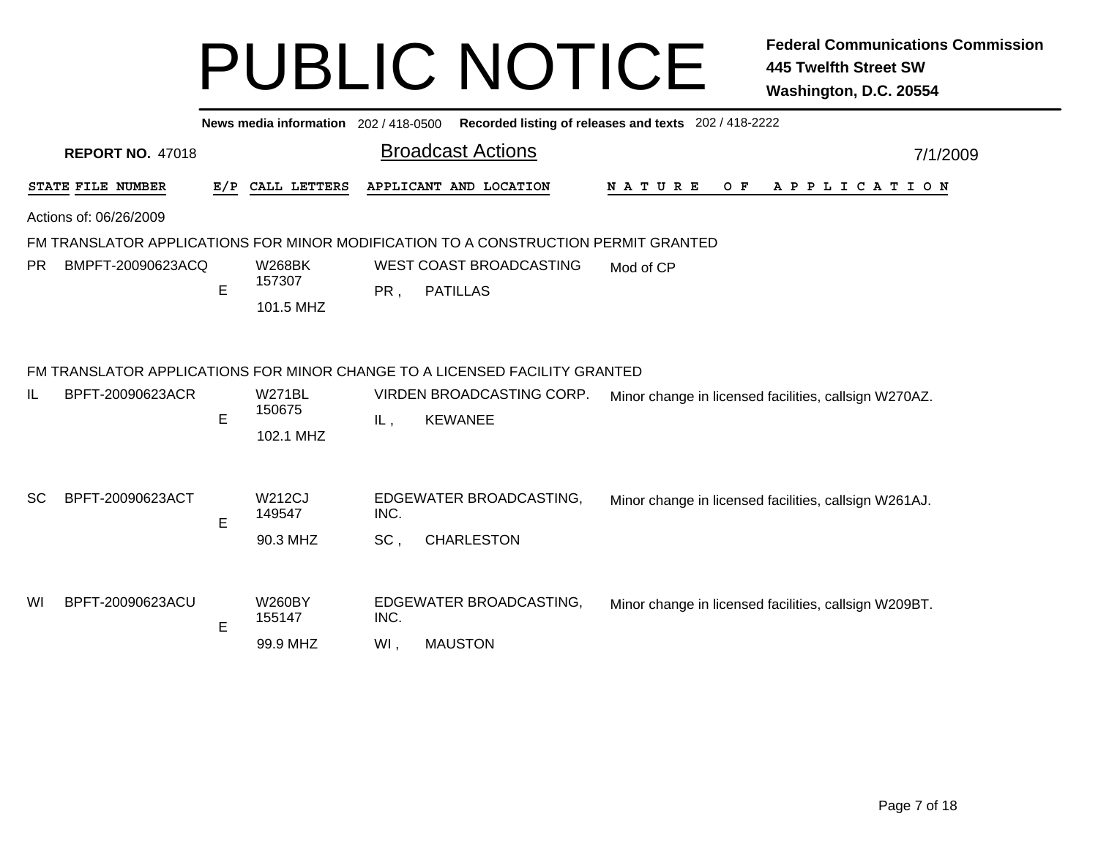|           |                         |     | News media information 202 / 418-0500 |      |                                                                                    | Recorded listing of releases and texts 202 / 418-2222 |          |
|-----------|-------------------------|-----|---------------------------------------|------|------------------------------------------------------------------------------------|-------------------------------------------------------|----------|
|           | <b>REPORT NO. 47018</b> |     |                                       |      | <b>Broadcast Actions</b>                                                           |                                                       | 7/1/2009 |
|           | STATE FILE NUMBER       | E/P | CALL LETTERS                          |      | APPLICANT AND LOCATION                                                             | O F<br>N A T U R E<br>A P P L I C A T I O N           |          |
|           | Actions of: 06/26/2009  |     |                                       |      |                                                                                    |                                                       |          |
|           |                         |     |                                       |      | FM TRANSLATOR APPLICATIONS FOR MINOR MODIFICATION TO A CONSTRUCTION PERMIT GRANTED |                                                       |          |
| PR.       | BMPFT-20090623ACQ       | E   | <b>W268BK</b><br>157307<br>101.5 MHZ  | PR,  | WEST COAST BROADCASTING<br><b>PATILLAS</b>                                         | Mod of CP                                             |          |
|           |                         |     |                                       |      | FM TRANSLATOR APPLICATIONS FOR MINOR CHANGE TO A LICENSED FACILITY GRANTED         |                                                       |          |
| IL        | BPFT-20090623ACR        | E   | <b>W271BL</b><br>150675<br>102.1 MHZ  | IL,  | VIRDEN BROADCASTING CORP.<br><b>KEWANEE</b>                                        | Minor change in licensed facilities, callsign W270AZ. |          |
| <b>SC</b> | BPFT-20090623ACT        |     | <b>W212CJ</b><br>149547               | INC. | EDGEWATER BROADCASTING,                                                            | Minor change in licensed facilities, callsign W261AJ. |          |
|           |                         | E   | 90.3 MHZ                              | SC,  | <b>CHARLESTON</b>                                                                  |                                                       |          |
| WI        | BPFT-20090623ACU        | E   | <b>W260BY</b><br>155147               | INC. | EDGEWATER BROADCASTING,                                                            | Minor change in licensed facilities, callsign W209BT. |          |
|           |                         |     | 99.9 MHZ                              | WI,  | <b>MAUSTON</b>                                                                     |                                                       |          |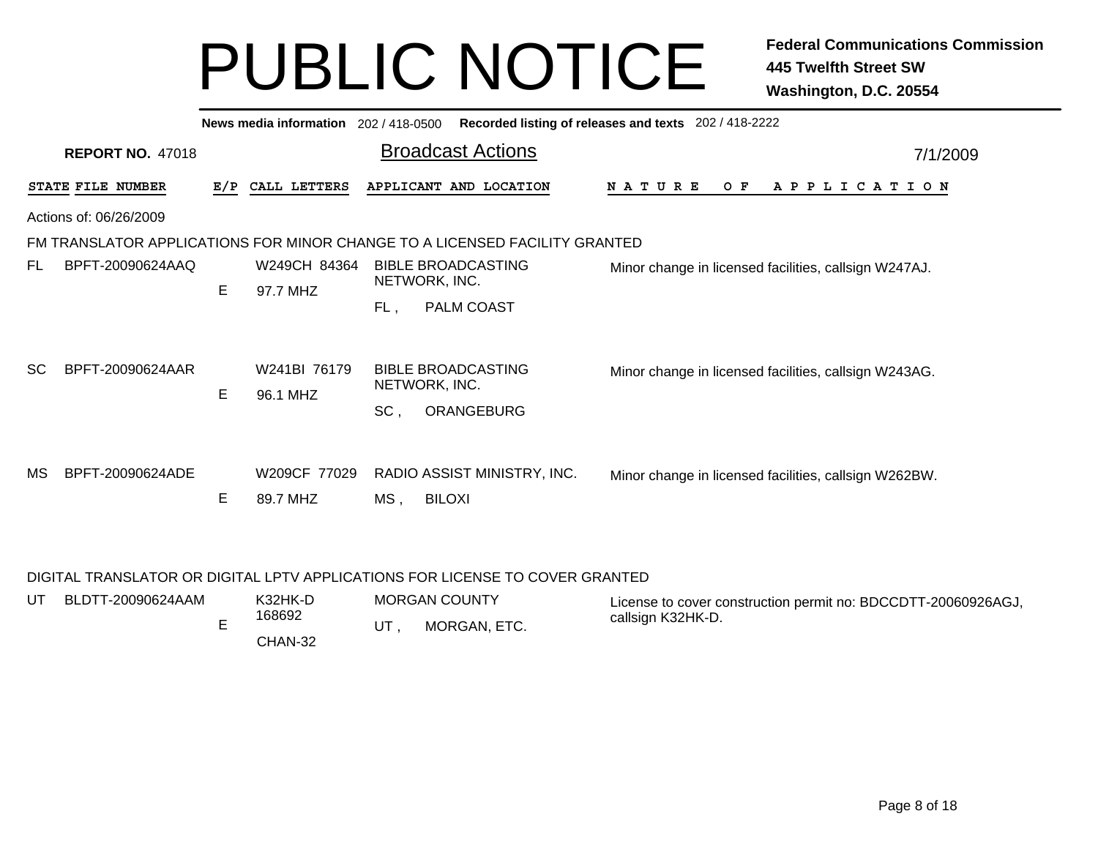|           |                                                                            |     | News media information 202 / 418-0500 |                          | Recorded listing of releases and texts 202 / 418-2222 |  |                                                       |  |          |  |  |     |  |  |                       |  |  |  |  |
|-----------|----------------------------------------------------------------------------|-----|---------------------------------------|--------------------------|-------------------------------------------------------|--|-------------------------------------------------------|--|----------|--|--|-----|--|--|-----------------------|--|--|--|--|
|           | <b>REPORT NO. 47018</b>                                                    |     |                                       | <b>Broadcast Actions</b> |                                                       |  |                                                       |  | 7/1/2009 |  |  |     |  |  |                       |  |  |  |  |
|           | STATE FILE NUMBER                                                          | E/P | CALL LETTERS                          |                          | APPLICANT AND LOCATION                                |  | <b>NATURE</b>                                         |  |          |  |  | O F |  |  | A P P L I C A T I O N |  |  |  |  |
|           | Actions of: 06/26/2009                                                     |     |                                       |                          |                                                       |  |                                                       |  |          |  |  |     |  |  |                       |  |  |  |  |
|           | FM TRANSLATOR APPLICATIONS FOR MINOR CHANGE TO A LICENSED FACILITY GRANTED |     |                                       |                          |                                                       |  |                                                       |  |          |  |  |     |  |  |                       |  |  |  |  |
| FL.       | BPFT-20090624AAQ                                                           |     | W249CH 84364                          |                          | <b>BIBLE BROADCASTING</b>                             |  | Minor change in licensed facilities, callsign W247AJ. |  |          |  |  |     |  |  |                       |  |  |  |  |
|           |                                                                            | E   | 97.7 MHZ                              |                          | NETWORK, INC.                                         |  |                                                       |  |          |  |  |     |  |  |                       |  |  |  |  |
|           |                                                                            |     |                                       | FL,                      | PALM COAST                                            |  |                                                       |  |          |  |  |     |  |  |                       |  |  |  |  |
| <b>SC</b> | BPFT-20090624AAR                                                           |     | W241BI 76179                          |                          | <b>BIBLE BROADCASTING</b><br>NETWORK, INC.            |  | Minor change in licensed facilities, callsign W243AG. |  |          |  |  |     |  |  |                       |  |  |  |  |
|           |                                                                            | E.  | 96.1 MHZ                              | SC,                      | ORANGEBURG                                            |  |                                                       |  |          |  |  |     |  |  |                       |  |  |  |  |
| MS        | BPFT-20090624ADE                                                           | Е   | W209CF 77029<br>89.7 MHZ              | MS,                      | RADIO ASSIST MINISTRY, INC.<br><b>BILOXI</b>          |  | Minor change in licensed facilities, callsign W262BW. |  |          |  |  |     |  |  |                       |  |  |  |  |

#### DIGITAL TRANSLATOR OR DIGITAL LPTV APPLICATIONS FOR LICENSE TO COVER GRANTED

| UT. | BLDTT-20090624AAM | K32HK-D | <b>MORGAN COUNTY</b> | License to cover construction permit no: BDCCDTT-20060926AGJ, |
|-----|-------------------|---------|----------------------|---------------------------------------------------------------|
|     |                   | 168692  | MORGAN, ETC.         | callsign K32HK-D.                                             |
|     |                   | CHAN-32 |                      |                                                               |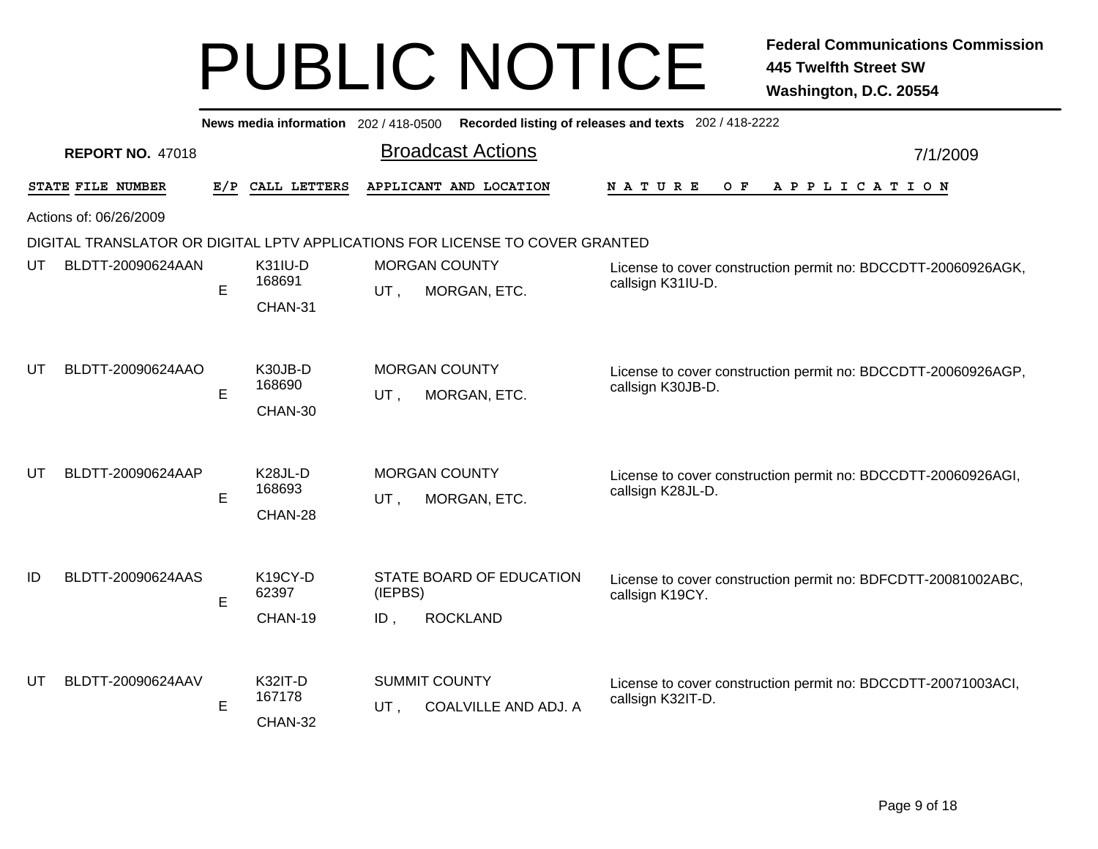|    | News media information 202 / 418-0500 Recorded listing of releases and texts 202 / 418-2222 |   |                                           |                   |                                                                              |                                                                                    |          |  |  |  |
|----|---------------------------------------------------------------------------------------------|---|-------------------------------------------|-------------------|------------------------------------------------------------------------------|------------------------------------------------------------------------------------|----------|--|--|--|
|    | <b>REPORT NO. 47018</b>                                                                     |   |                                           |                   | <b>Broadcast Actions</b>                                                     |                                                                                    | 7/1/2009 |  |  |  |
|    | STATE FILE NUMBER                                                                           |   | E/P CALL LETTERS                          |                   | APPLICANT AND LOCATION                                                       | O F<br>APPLICATION<br><b>NATURE</b>                                                |          |  |  |  |
|    | Actions of: 06/26/2009                                                                      |   |                                           |                   |                                                                              |                                                                                    |          |  |  |  |
|    |                                                                                             |   |                                           |                   | DIGITAL TRANSLATOR OR DIGITAL LPTV APPLICATIONS FOR LICENSE TO COVER GRANTED |                                                                                    |          |  |  |  |
| UT | BLDTT-20090624AAN                                                                           | E | <b>K31IU-D</b><br>168691                  |                   | <b>MORGAN COUNTY</b>                                                         | License to cover construction permit no: BDCCDTT-20060926AGK,<br>callsign K31IU-D. |          |  |  |  |
|    |                                                                                             |   | CHAN-31                                   | UT,               | MORGAN, ETC.                                                                 |                                                                                    |          |  |  |  |
|    |                                                                                             |   |                                           |                   |                                                                              |                                                                                    |          |  |  |  |
| UT | BLDTT-20090624AAO                                                                           | E | K30JB-D<br>168690                         | UT,               | <b>MORGAN COUNTY</b><br>MORGAN, ETC.                                         | License to cover construction permit no: BDCCDTT-20060926AGP,<br>callsign K30JB-D. |          |  |  |  |
|    |                                                                                             |   | CHAN-30                                   |                   |                                                                              |                                                                                    |          |  |  |  |
| UT | BLDTT-20090624AAP                                                                           | E | K <sub>28</sub> JL-D<br>168693<br>CHAN-28 | UT,               | <b>MORGAN COUNTY</b><br>MORGAN, ETC.                                         | License to cover construction permit no: BDCCDTT-20060926AGI,<br>callsign K28JL-D. |          |  |  |  |
| ID | BLDTT-20090624AAS                                                                           | E | K19CY-D<br>62397<br>CHAN-19               | (IEPBS)<br>$ID$ , | STATE BOARD OF EDUCATION<br><b>ROCKLAND</b>                                  | License to cover construction permit no: BDFCDTT-20081002ABC,<br>callsign K19CY.   |          |  |  |  |
| UT | BLDTT-20090624AAV                                                                           | E | <b>K32IT-D</b><br>167178<br>CHAN-32       | UT,               | <b>SUMMIT COUNTY</b><br>COALVILLE AND ADJ. A                                 | License to cover construction permit no: BDCCDTT-20071003ACI,<br>callsign K32IT-D. |          |  |  |  |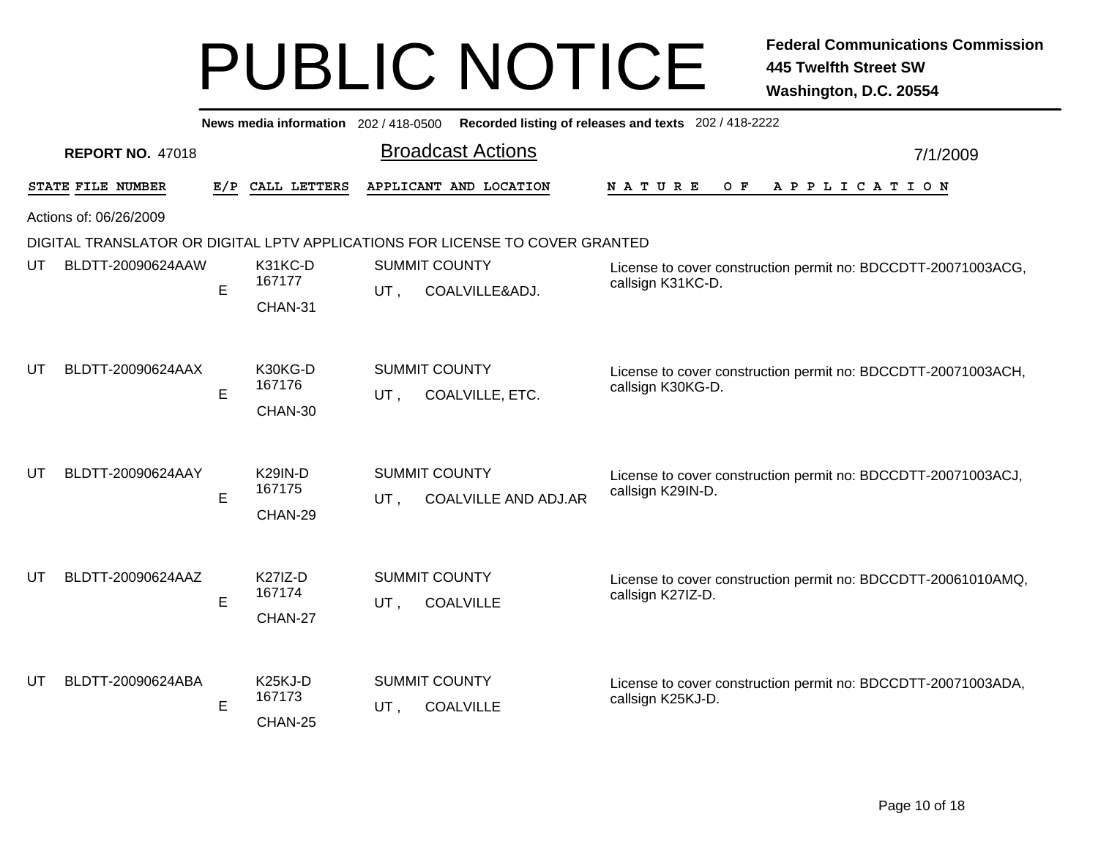|    |                                                                              |     | News media information 202 / 418-0500     | Recorded listing of releases and texts 202 / 418-2222 |                             |                                                                                    |          |  |  |  |
|----|------------------------------------------------------------------------------|-----|-------------------------------------------|-------------------------------------------------------|-----------------------------|------------------------------------------------------------------------------------|----------|--|--|--|
|    | <b>REPORT NO. 47018</b>                                                      |     |                                           | <b>Broadcast Actions</b>                              |                             |                                                                                    | 7/1/2009 |  |  |  |
|    | STATE FILE NUMBER                                                            | E/P | CALL LETTERS                              | APPLICANT AND LOCATION                                |                             | NATURE<br>O F<br>A P P L I C A T I O N                                             |          |  |  |  |
|    | Actions of: 06/26/2009                                                       |     |                                           |                                                       |                             |                                                                                    |          |  |  |  |
|    | DIGITAL TRANSLATOR OR DIGITAL LPTV APPLICATIONS FOR LICENSE TO COVER GRANTED |     |                                           |                                                       |                             |                                                                                    |          |  |  |  |
| UT | BLDTT-20090624AAW                                                            | E   | K31KC-D<br>167177                         | <b>SUMMIT COUNTY</b><br>UT,                           | COALVILLE&ADJ.              | License to cover construction permit no: BDCCDTT-20071003ACG,<br>callsign K31KC-D. |          |  |  |  |
|    |                                                                              |     | CHAN-31                                   |                                                       |                             |                                                                                    |          |  |  |  |
| UT | BLDTT-20090624AAX                                                            |     | K30KG-D                                   | <b>SUMMIT COUNTY</b>                                  |                             | License to cover construction permit no: BDCCDTT-20071003ACH,                      |          |  |  |  |
|    |                                                                              | E   | 167176                                    | UT,                                                   | COALVILLE, ETC.             | callsign K30KG-D.                                                                  |          |  |  |  |
|    |                                                                              |     | CHAN-30                                   |                                                       |                             |                                                                                    |          |  |  |  |
| UT | BLDTT-20090624AAY                                                            | E   | <b>K29IN-D</b><br>167175<br>CHAN-29       | <b>SUMMIT COUNTY</b><br>UT,                           | <b>COALVILLE AND ADJ.AR</b> | License to cover construction permit no: BDCCDTT-20071003ACJ,<br>callsign K29IN-D. |          |  |  |  |
| UT | BLDTT-20090624AAZ                                                            | E   | <b>K27IZ-D</b><br>167174<br>CHAN-27       | <b>SUMMIT COUNTY</b><br>UT,<br><b>COALVILLE</b>       |                             | License to cover construction permit no: BDCCDTT-20061010AMQ,<br>callsign K27IZ-D. |          |  |  |  |
| UT | BLDTT-20090624ABA                                                            | E   | K <sub>25</sub> KJ-D<br>167173<br>CHAN-25 | <b>SUMMIT COUNTY</b><br>UT,<br><b>COALVILLE</b>       |                             | License to cover construction permit no: BDCCDTT-20071003ADA,<br>callsign K25KJ-D. |          |  |  |  |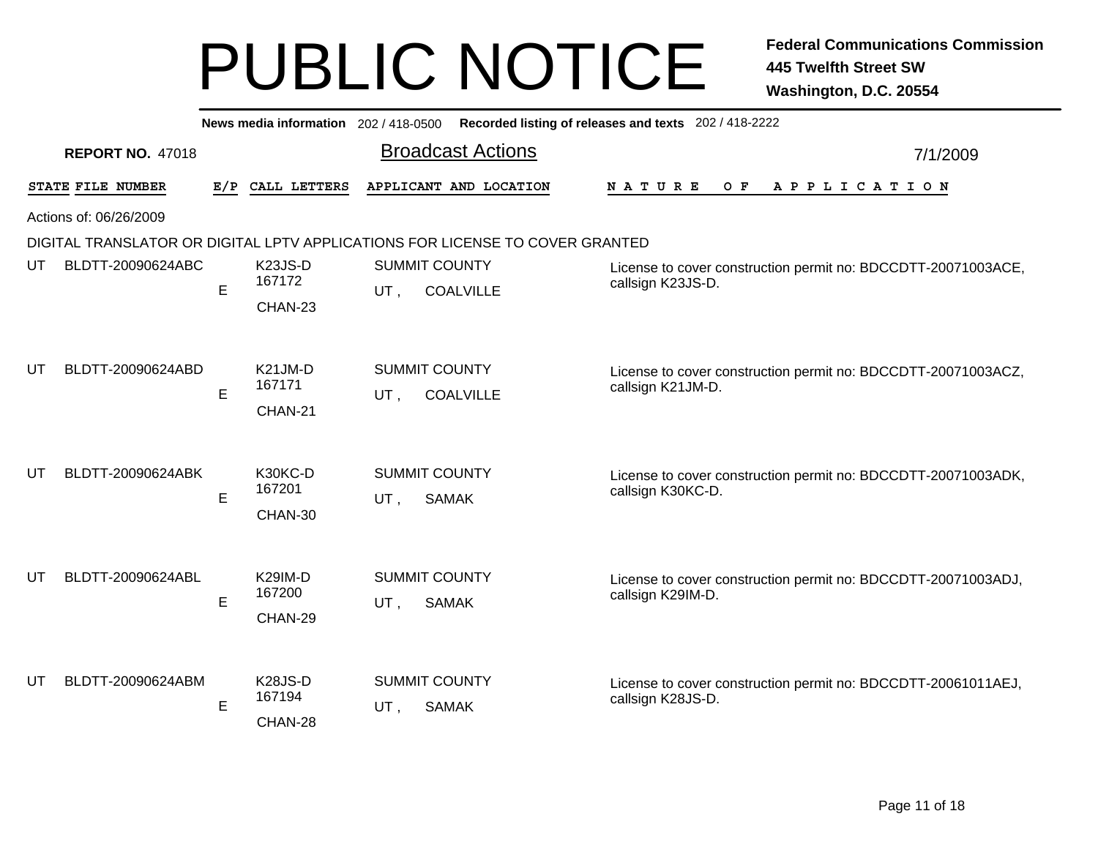|     | Recorded listing of releases and texts 202 / 418-2222<br>News media information 202/418-0500 |     |                   |     |                                          |                                                                                    |          |  |  |  |
|-----|----------------------------------------------------------------------------------------------|-----|-------------------|-----|------------------------------------------|------------------------------------------------------------------------------------|----------|--|--|--|
|     | <b>REPORT NO. 47018</b>                                                                      |     |                   |     | <b>Broadcast Actions</b>                 |                                                                                    | 7/1/2009 |  |  |  |
|     | STATE FILE NUMBER                                                                            | E/P | CALL LETTERS      |     | APPLICANT AND LOCATION                   | <b>NATURE</b><br>O F<br>A P P L I C A T I O N                                      |          |  |  |  |
|     | Actions of: 06/26/2009                                                                       |     |                   |     |                                          |                                                                                    |          |  |  |  |
|     | DIGITAL TRANSLATOR OR DIGITAL LPTV APPLICATIONS FOR LICENSE TO COVER GRANTED                 |     |                   |     |                                          |                                                                                    |          |  |  |  |
| UT  | BLDTT-20090624ABC                                                                            | E   | K23JS-D<br>167172 | UT. | <b>SUMMIT COUNTY</b><br><b>COALVILLE</b> | License to cover construction permit no: BDCCDTT-20071003ACE,<br>callsign K23JS-D. |          |  |  |  |
|     |                                                                                              |     | CHAN-23           |     |                                          |                                                                                    |          |  |  |  |
|     |                                                                                              |     |                   |     |                                          |                                                                                    |          |  |  |  |
| UT  | BLDTT-20090624ABD                                                                            |     | K21JM-D<br>167171 |     | <b>SUMMIT COUNTY</b>                     | License to cover construction permit no: BDCCDTT-20071003ACZ,                      |          |  |  |  |
|     |                                                                                              | E   |                   | UT, | <b>COALVILLE</b>                         | callsign K21JM-D.                                                                  |          |  |  |  |
|     |                                                                                              |     | CHAN-21           |     |                                          |                                                                                    |          |  |  |  |
|     |                                                                                              |     |                   |     |                                          |                                                                                    |          |  |  |  |
| UT  | BLDTT-20090624ABK                                                                            | E   | K30KC-D<br>167201 | UT, | <b>SUMMIT COUNTY</b><br><b>SAMAK</b>     | License to cover construction permit no: BDCCDTT-20071003ADK,<br>callsign K30KC-D. |          |  |  |  |
|     |                                                                                              |     | CHAN-30           |     |                                          |                                                                                    |          |  |  |  |
|     |                                                                                              |     |                   |     |                                          |                                                                                    |          |  |  |  |
| UT  | BLDTT-20090624ABL                                                                            |     | <b>K29IM-D</b>    |     | <b>SUMMIT COUNTY</b>                     | License to cover construction permit no: BDCCDTT-20071003ADJ,                      |          |  |  |  |
|     |                                                                                              | E   | 167200            | UT, | <b>SAMAK</b>                             | callsign K29IM-D.                                                                  |          |  |  |  |
|     |                                                                                              |     | CHAN-29           |     |                                          |                                                                                    |          |  |  |  |
|     |                                                                                              |     |                   |     |                                          |                                                                                    |          |  |  |  |
| UT. | BLDTT-20090624ABM                                                                            |     | K28JS-D<br>167194 |     | <b>SUMMIT COUNTY</b>                     | License to cover construction permit no: BDCCDTT-20061011AEJ,<br>callsign K28JS-D. |          |  |  |  |
|     |                                                                                              | Е   | CHAN-28           | UT, | <b>SAMAK</b>                             |                                                                                    |          |  |  |  |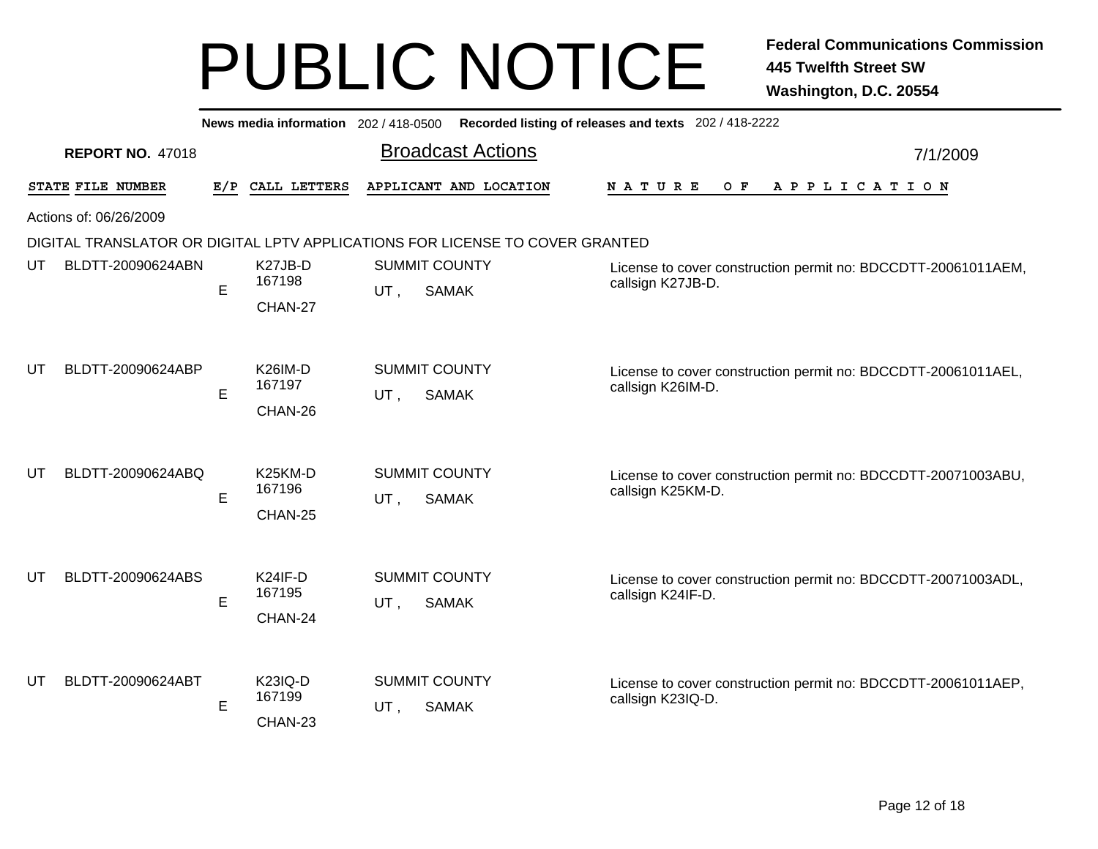| News media information 202 / 418-0500 |                         |     |                                |                                             |                                                                                    | Recorded listing of releases and texts 202 / 418-2222                              |          |  |
|---------------------------------------|-------------------------|-----|--------------------------------|---------------------------------------------|------------------------------------------------------------------------------------|------------------------------------------------------------------------------------|----------|--|
|                                       | <b>REPORT NO. 47018</b> |     |                                |                                             | <b>Broadcast Actions</b>                                                           |                                                                                    | 7/1/2009 |  |
|                                       | STATE FILE NUMBER       | E/P | CALL LETTERS                   |                                             | APPLICANT AND LOCATION                                                             | N A T U R E<br>O F<br>A P P L I C A T I O N                                        |          |  |
| Actions of: 06/26/2009                |                         |     |                                |                                             |                                                                                    |                                                                                    |          |  |
|                                       |                         |     |                                |                                             | DIGITAL TRANSLATOR OR DIGITAL LPTV APPLICATIONS FOR LICENSE TO COVER GRANTED       |                                                                                    |          |  |
| UT                                    | BLDTT-20090624ABN       | E   | K27JB-D<br>167198              | <b>SUMMIT COUNTY</b><br>UT,<br><b>SAMAK</b> | License to cover construction permit no: BDCCDTT-20061011AEM,<br>callsign K27JB-D. |                                                                                    |          |  |
|                                       |                         |     | CHAN-27                        |                                             |                                                                                    |                                                                                    |          |  |
| UT                                    | BLDTT-20090624ABP       |     | K26IM-D                        |                                             | <b>SUMMIT COUNTY</b>                                                               | License to cover construction permit no: BDCCDTT-20061011AEL,                      |          |  |
|                                       |                         | E   | 167197                         | UT,                                         | <b>SAMAK</b>                                                                       | callsign K26IM-D.                                                                  |          |  |
|                                       |                         |     | CHAN-26                        |                                             |                                                                                    |                                                                                    |          |  |
| UT                                    | BLDTT-20090624ABQ       |     | K <sub>25</sub> KM-D<br>167196 |                                             | <b>SUMMIT COUNTY</b>                                                               | License to cover construction permit no: BDCCDTT-20071003ABU,<br>callsign K25KM-D. |          |  |
|                                       |                         | E   | CHAN-25                        | UT,                                         | <b>SAMAK</b>                                                                       |                                                                                    |          |  |
|                                       |                         |     |                                |                                             |                                                                                    |                                                                                    |          |  |
| UT                                    | BLDTT-20090624ABS       |     | K24IF-D                        |                                             | <b>SUMMIT COUNTY</b>                                                               | License to cover construction permit no: BDCCDTT-20071003ADL,                      |          |  |
|                                       |                         | E   | 167195                         | UT,                                         | <b>SAMAK</b>                                                                       | callsign K24IF-D.                                                                  |          |  |
|                                       |                         |     | CHAN-24                        |                                             |                                                                                    |                                                                                    |          |  |
|                                       | BLDTT-20090624ABT       |     | <b>K23IQ-D</b>                 |                                             | <b>SUMMIT COUNTY</b>                                                               |                                                                                    |          |  |
| UT                                    |                         | E   | 167199                         | UT,                                         | <b>SAMAK</b>                                                                       | License to cover construction permit no: BDCCDTT-20061011AEP,<br>callsign K23IQ-D. |          |  |
|                                       |                         |     | CHAN-23                        |                                             |                                                                                    |                                                                                    |          |  |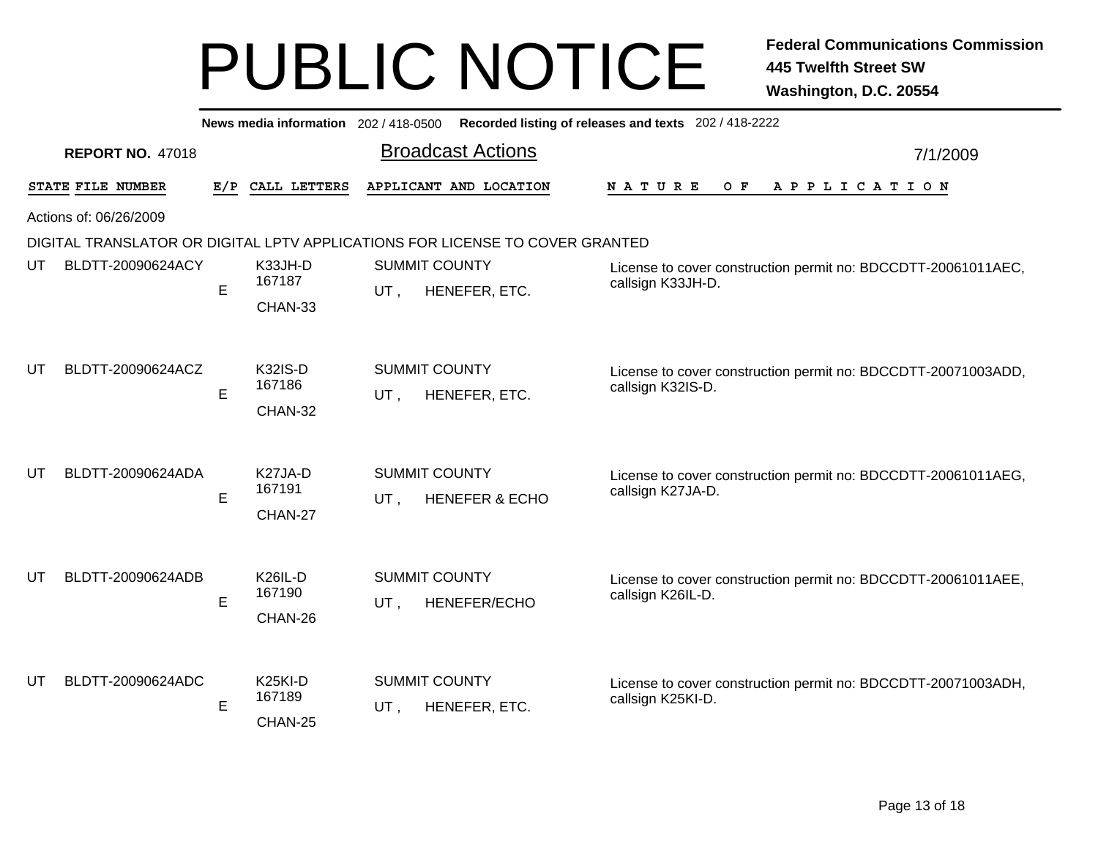|    |                         |     | News media information 202 / 418-0500     |                                              |                                                                              | Recorded listing of releases and texts 202 / 418-2222                              |          |  |  |  |
|----|-------------------------|-----|-------------------------------------------|----------------------------------------------|------------------------------------------------------------------------------|------------------------------------------------------------------------------------|----------|--|--|--|
|    | <b>REPORT NO. 47018</b> |     |                                           |                                              | <b>Broadcast Actions</b>                                                     |                                                                                    | 7/1/2009 |  |  |  |
|    | STATE FILE NUMBER       | E/P | CALL LETTERS                              |                                              | APPLICANT AND LOCATION                                                       | <b>NATURE</b><br>O F<br>A P P L I C A T I O N                                      |          |  |  |  |
|    | Actions of: 06/26/2009  |     |                                           |                                              |                                                                              |                                                                                    |          |  |  |  |
|    |                         |     |                                           |                                              | DIGITAL TRANSLATOR OR DIGITAL LPTV APPLICATIONS FOR LICENSE TO COVER GRANTED |                                                                                    |          |  |  |  |
| UT | BLDTT-20090624ACY       | E   | K33JH-D<br>167187                         | <b>SUMMIT COUNTY</b><br>UT,<br>HENEFER, ETC. |                                                                              | License to cover construction permit no: BDCCDTT-20061011AEC,<br>callsign K33JH-D. |          |  |  |  |
|    |                         |     | CHAN-33                                   |                                              |                                                                              |                                                                                    |          |  |  |  |
| UT | BLDTT-20090624ACZ       | E   | <b>K32IS-D</b><br>167186<br>CHAN-32       | UT,                                          | <b>SUMMIT COUNTY</b><br>HENEFER, ETC.                                        | License to cover construction permit no: BDCCDTT-20071003ADD,<br>callsign K32IS-D. |          |  |  |  |
| UT | BLDTT-20090624ADA       | E   | K27JA-D<br>167191<br>CHAN-27              | UT,                                          | <b>SUMMIT COUNTY</b><br><b>HENEFER &amp; ECHO</b>                            | License to cover construction permit no: BDCCDTT-20061011AEG,<br>callsign K27JA-D. |          |  |  |  |
| UT | BLDTT-20090624ADB       | E   | <b>K26IL-D</b><br>167190<br>CHAN-26       | UT,                                          | <b>SUMMIT COUNTY</b><br><b>HENEFER/ECHO</b>                                  | License to cover construction permit no: BDCCDTT-20061011AEE,<br>callsign K26IL-D. |          |  |  |  |
| UT | BLDTT-20090624ADC       | E   | K <sub>25</sub> KI-D<br>167189<br>CHAN-25 | UT,                                          | <b>SUMMIT COUNTY</b><br>HENEFER, ETC.                                        | License to cover construction permit no: BDCCDTT-20071003ADH,<br>callsign K25KI-D. |          |  |  |  |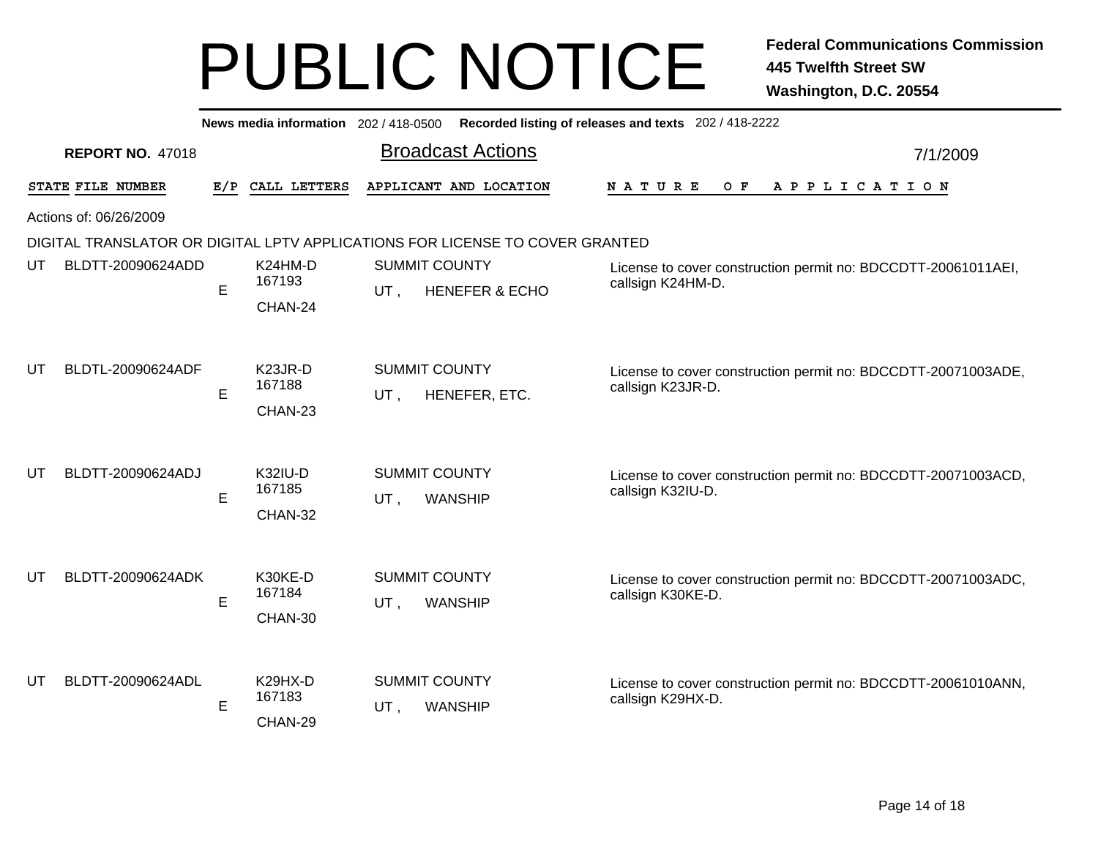|    |                         |   | News media information 202 / 418-0500     |                             |                                                                              | Recorded listing of releases and texts 202 / 418-2222                              |          |  |  |  |
|----|-------------------------|---|-------------------------------------------|-----------------------------|------------------------------------------------------------------------------|------------------------------------------------------------------------------------|----------|--|--|--|
|    | <b>REPORT NO. 47018</b> |   |                                           |                             | <b>Broadcast Actions</b>                                                     |                                                                                    | 7/1/2009 |  |  |  |
|    | STATE FILE NUMBER       |   | E/P CALL LETTERS                          |                             | APPLICANT AND LOCATION                                                       | O F<br><b>NATURE</b><br>A P P L I C A T I O N                                      |          |  |  |  |
|    | Actions of: 06/26/2009  |   |                                           |                             |                                                                              |                                                                                    |          |  |  |  |
|    |                         |   |                                           |                             | DIGITAL TRANSLATOR OR DIGITAL LPTV APPLICATIONS FOR LICENSE TO COVER GRANTED |                                                                                    |          |  |  |  |
| UT | BLDTT-20090624ADD       | E | K24HM-D<br>167193<br>CHAN-24              | <b>SUMMIT COUNTY</b><br>UT, | <b>HENEFER &amp; ECHO</b>                                                    | License to cover construction permit no: BDCCDTT-20061011AEI,<br>callsign K24HM-D. |          |  |  |  |
| UT | BLDTL-20090624ADF       | E | K <sub>23</sub> JR-D<br>167188<br>CHAN-23 | <b>SUMMIT COUNTY</b><br>UT, | HENEFER, ETC.                                                                | License to cover construction permit no: BDCCDTT-20071003ADE,<br>callsign K23JR-D. |          |  |  |  |
| UT | BLDTT-20090624ADJ       | E | <b>K32IU-D</b><br>167185<br>CHAN-32       | <b>SUMMIT COUNTY</b><br>UT, | <b>WANSHIP</b>                                                               | License to cover construction permit no: BDCCDTT-20071003ACD,<br>callsign K32IU-D. |          |  |  |  |
| UT | BLDTT-20090624ADK       | E | K30KE-D<br>167184<br>CHAN-30              | <b>SUMMIT COUNTY</b><br>UT, | <b>WANSHIP</b>                                                               | License to cover construction permit no: BDCCDTT-20071003ADC,<br>callsign K30KE-D. |          |  |  |  |
| UT | BLDTT-20090624ADL       | Е | K29HX-D<br>167183<br>CHAN-29              | <b>SUMMIT COUNTY</b><br>UT, | <b>WANSHIP</b>                                                               | License to cover construction permit no: BDCCDTT-20061010ANN,<br>callsign K29HX-D. |          |  |  |  |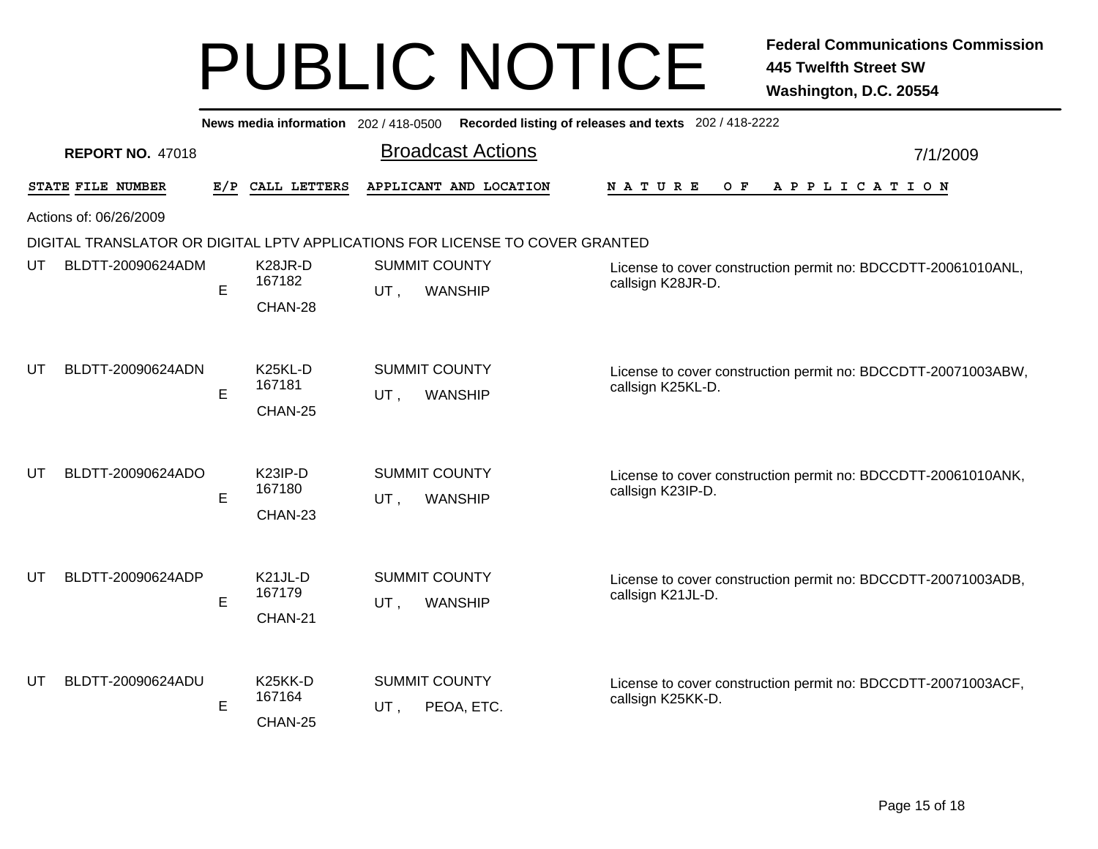|    |                         |     |                                           |                      | News media information 202 / 418-0500 Recorded listing of releases and texts 202 / 418-2222 |                                                                                    |          |
|----|-------------------------|-----|-------------------------------------------|----------------------|---------------------------------------------------------------------------------------------|------------------------------------------------------------------------------------|----------|
|    | <b>REPORT NO. 47018</b> |     |                                           |                      | <b>Broadcast Actions</b>                                                                    |                                                                                    | 7/1/2009 |
|    | STATE FILE NUMBER       | E/P | CALL LETTERS                              |                      | APPLICANT AND LOCATION                                                                      | N A T U R E<br>O F<br>APPLICATION                                                  |          |
|    | Actions of: 06/26/2009  |     |                                           |                      |                                                                                             |                                                                                    |          |
|    |                         |     |                                           |                      | DIGITAL TRANSLATOR OR DIGITAL LPTV APPLICATIONS FOR LICENSE TO COVER GRANTED                |                                                                                    |          |
| UT | BLDTT-20090624ADM       | E   | K <sub>28</sub> JR-D<br>167182            | <b>SUMMIT COUNTY</b> |                                                                                             | License to cover construction permit no: BDCCDTT-20061010ANL,<br>callsign K28JR-D. |          |
|    |                         |     | CHAN-28                                   | UT,                  | <b>WANSHIP</b>                                                                              |                                                                                    |          |
| UT | BLDTT-20090624ADN       | E   | K <sub>25</sub> KL-D<br>167181<br>CHAN-25 | UT,                  | <b>SUMMIT COUNTY</b><br>WANSHIP                                                             | License to cover construction permit no: BDCCDTT-20071003ABW,<br>callsign K25KL-D. |          |
| UT | BLDTT-20090624ADO       | E   | K <sub>23</sub> IP-D<br>167180<br>CHAN-23 | UT,                  | <b>SUMMIT COUNTY</b><br>WANSHIP                                                             | License to cover construction permit no: BDCCDTT-20061010ANK,<br>callsign K23IP-D. |          |
| UT | BLDTT-20090624ADP       | E   | K <sub>21</sub> JL-D<br>167179<br>CHAN-21 | UT,                  | <b>SUMMIT COUNTY</b><br><b>WANSHIP</b>                                                      | License to cover construction permit no: BDCCDTT-20071003ADB,<br>callsign K21JL-D. |          |
| UT | BLDTT-20090624ADU       | E   | K <sub>25</sub> KK-D<br>167164<br>CHAN-25 | UT,                  | <b>SUMMIT COUNTY</b><br>PEOA, ETC.                                                          | License to cover construction permit no: BDCCDTT-20071003ACF,<br>callsign K25KK-D. |          |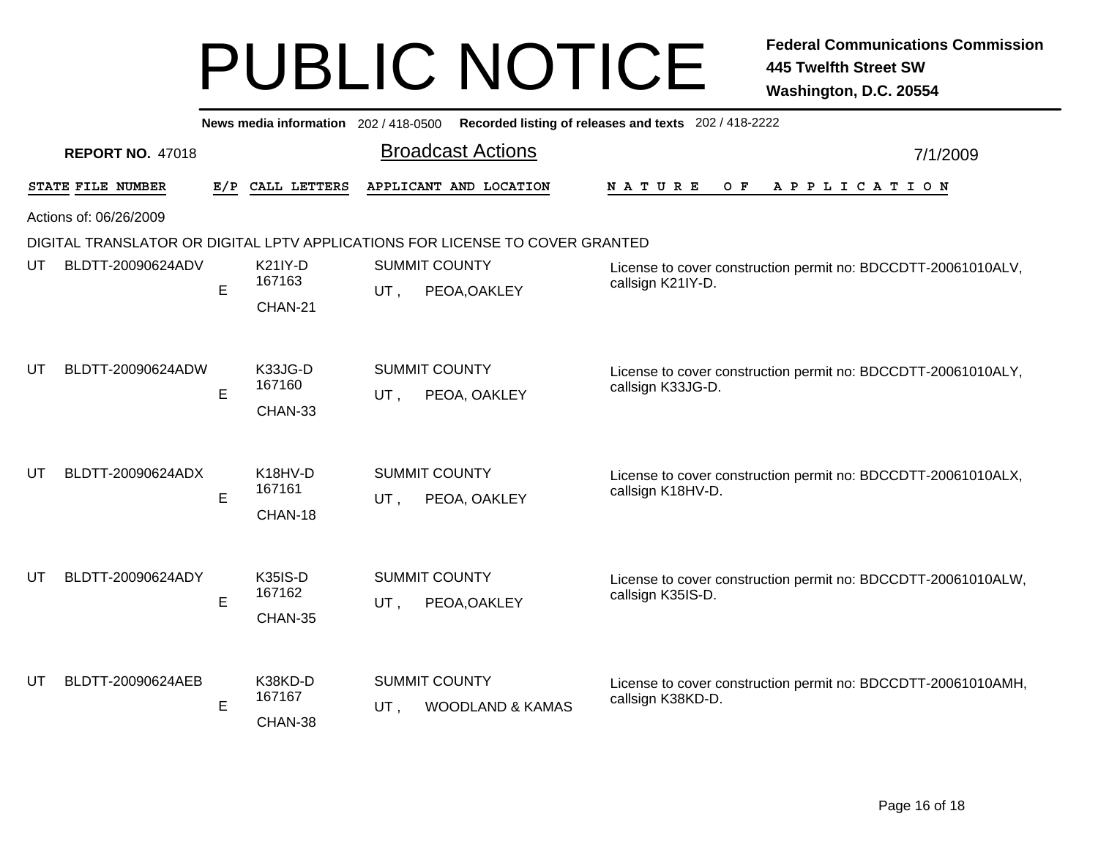| News media information 202 / 418-0500 |                         |   |                                     | Recorded listing of releases and texts 202 / 418-2222 |                                                                              |                                                                                    |          |  |  |
|---------------------------------------|-------------------------|---|-------------------------------------|-------------------------------------------------------|------------------------------------------------------------------------------|------------------------------------------------------------------------------------|----------|--|--|
|                                       | <b>REPORT NO. 47018</b> |   |                                     |                                                       | <b>Broadcast Actions</b>                                                     |                                                                                    | 7/1/2009 |  |  |
|                                       | STATE FILE NUMBER       |   | E/P CALL LETTERS                    |                                                       | APPLICANT AND LOCATION                                                       | N A T U R E<br>O F<br>A P P L I C A T I O N                                        |          |  |  |
| Actions of: 06/26/2009                |                         |   |                                     |                                                       |                                                                              |                                                                                    |          |  |  |
|                                       |                         |   |                                     |                                                       | DIGITAL TRANSLATOR OR DIGITAL LPTV APPLICATIONS FOR LICENSE TO COVER GRANTED |                                                                                    |          |  |  |
| UT                                    | BLDTT-20090624ADV       | E | <b>K21IY-D</b><br>167163            | UT.                                                   | <b>SUMMIT COUNTY</b>                                                         | License to cover construction permit no: BDCCDTT-20061010ALV,<br>callsign K21IY-D. |          |  |  |
|                                       |                         |   | CHAN-21                             | PEOA, OAKLEY                                          |                                                                              |                                                                                    |          |  |  |
| UT                                    | BLDTT-20090624ADW       |   | K33JG-D<br>167160                   |                                                       | <b>SUMMIT COUNTY</b>                                                         | License to cover construction permit no: BDCCDTT-20061010ALY,<br>callsign K33JG-D. |          |  |  |
|                                       |                         | E | CHAN-33                             | UT,                                                   | PEOA, OAKLEY                                                                 |                                                                                    |          |  |  |
| UT                                    | BLDTT-20090624ADX       | E | K18HV-D<br>167161<br>CHAN-18        | UT,                                                   | <b>SUMMIT COUNTY</b><br>PEOA, OAKLEY                                         | License to cover construction permit no: BDCCDTT-20061010ALX,<br>callsign K18HV-D. |          |  |  |
| UT                                    | BLDTT-20090624ADY       | E | <b>K35IS-D</b><br>167162<br>CHAN-35 | UT,                                                   | <b>SUMMIT COUNTY</b><br>PEOA, OAKLEY                                         | License to cover construction permit no: BDCCDTT-20061010ALW,<br>callsign K35IS-D. |          |  |  |
| UT                                    | BLDTT-20090624AEB       | E | K38KD-D<br>167167<br>CHAN-38        | UT.                                                   | <b>SUMMIT COUNTY</b><br><b>WOODLAND &amp; KAMAS</b>                          | License to cover construction permit no: BDCCDTT-20061010AMH,<br>callsign K38KD-D. |          |  |  |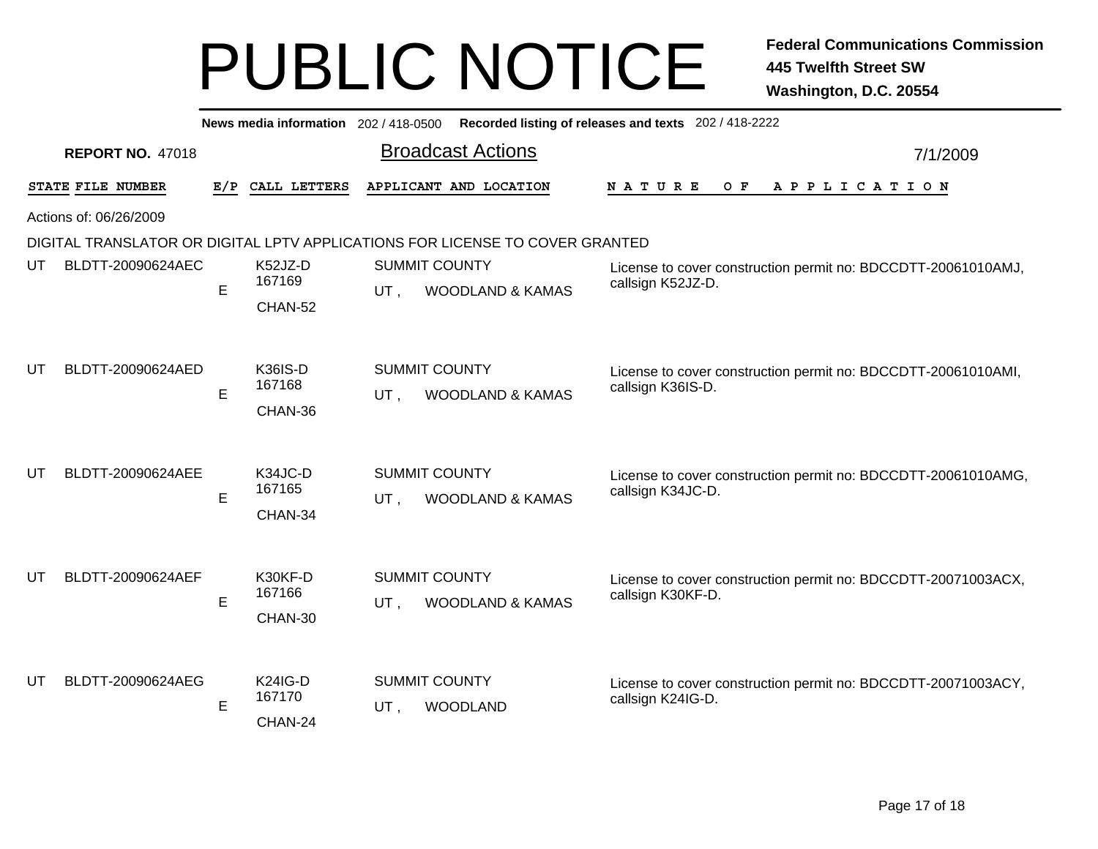|    |                         |     | News media information 202 / 418-0500 |                                                            |                                                                              | Recorded listing of releases and texts 202 / 418-2222                              |          |
|----|-------------------------|-----|---------------------------------------|------------------------------------------------------------|------------------------------------------------------------------------------|------------------------------------------------------------------------------------|----------|
|    | <b>REPORT NO. 47018</b> |     |                                       |                                                            | <b>Broadcast Actions</b>                                                     |                                                                                    | 7/1/2009 |
|    | STATE FILE NUMBER       | E/P | CALL LETTERS                          |                                                            | APPLICANT AND LOCATION                                                       | <b>NATURE</b><br>O F<br>A P P L I C A T I O N                                      |          |
|    | Actions of: 06/26/2009  |     |                                       |                                                            |                                                                              |                                                                                    |          |
|    |                         |     |                                       |                                                            | DIGITAL TRANSLATOR OR DIGITAL LPTV APPLICATIONS FOR LICENSE TO COVER GRANTED |                                                                                    |          |
| UT | BLDTT-20090624AEC       | E   | K52JZ-D<br>167169                     | <b>SUMMIT COUNTY</b><br>UT.<br><b>WOODLAND &amp; KAMAS</b> |                                                                              | License to cover construction permit no: BDCCDTT-20061010AMJ,<br>callsign K52JZ-D. |          |
|    |                         |     | CHAN-52                               |                                                            |                                                                              |                                                                                    |          |
| UT | BLDTT-20090624AED       | E   | <b>K36IS-D</b><br>167168<br>CHAN-36   | UT,                                                        | <b>SUMMIT COUNTY</b><br><b>WOODLAND &amp; KAMAS</b>                          | License to cover construction permit no: BDCCDTT-20061010AMI,<br>callsign K36IS-D. |          |
| UТ | BLDTT-20090624AEE       | E   | K34JC-D<br>167165<br>CHAN-34          | UT,                                                        | <b>SUMMIT COUNTY</b><br><b>WOODLAND &amp; KAMAS</b>                          | License to cover construction permit no: BDCCDTT-20061010AMG,<br>callsign K34JC-D. |          |
| UT | BLDTT-20090624AEF       | E   | K30KF-D<br>167166<br>CHAN-30          | UT,                                                        | <b>SUMMIT COUNTY</b><br><b>WOODLAND &amp; KAMAS</b>                          | License to cover construction permit no: BDCCDTT-20071003ACX,<br>callsign K30KF-D. |          |
| UT | BLDTT-20090624AEG       | E   | <b>K24IG-D</b><br>167170<br>CHAN-24   | UT,                                                        | <b>SUMMIT COUNTY</b><br><b>WOODLAND</b>                                      | License to cover construction permit no: BDCCDTT-20071003ACY,<br>callsign K24IG-D. |          |